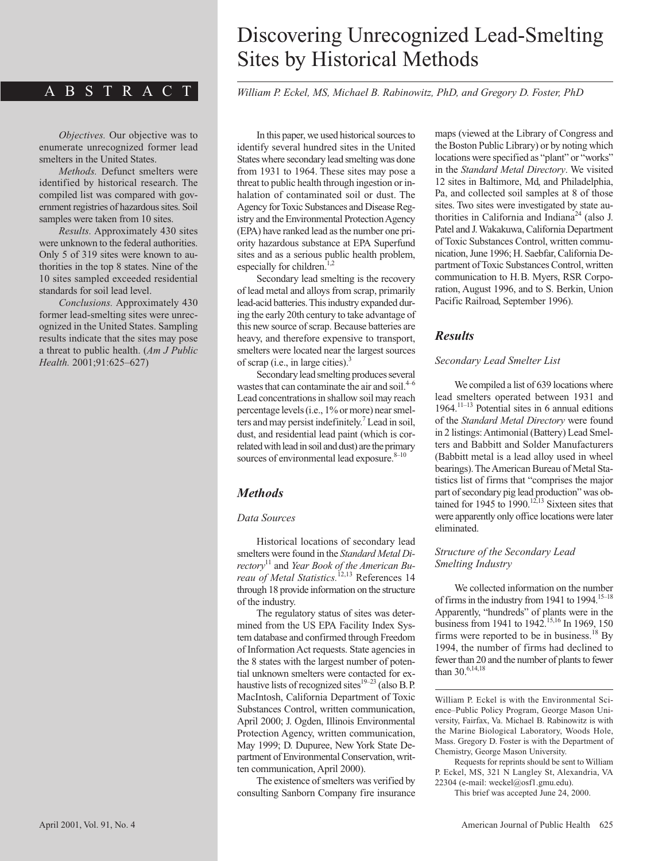# ABSTRACT

*Objectives.* Our objective was to enumerate unrecognized former lead smelters in the United States.

*Methods.* Defunct smelters were identified by historical research. The compiled list was compared with government registries of hazardous sites. Soil samples were taken from 10 sites.

*Results.* Approximately 430 sites were unknown to the federal authorities. Only 5 of 319 sites were known to authorities in the top 8 states. Nine of the 10 sites sampled exceeded residential standards for soil lead level.

*Conclusions.* Approximately 430 former lead-smelting sites were unrecognized in the United States. Sampling results indicate that the sites may pose a threat to public health. (*Am J Public Health.* 2001;91:625–627)

# Discovering Unrecognized Lead-Smelting Sites by Historical Methods

*William P. Eckel, MS, Michael B. Rabinowitz, PhD, and Gregory D. Foster, PhD*

In this paper, we used historical sources to identify several hundred sites in the United States where secondary lead smelting was done from 1931 to 1964. These sites may pose a threat to public health through ingestion or inhalation of contaminated soil or dust. The Agency for Toxic Substances and Disease Registry and the Environmental Protection Agency (EPA) have ranked lead as the number one priority hazardous substance at EPA Superfund sites and as a serious public health problem, especially for children.<sup>1,2</sup>

Secondary lead smelting is the recovery of lead metal and alloys from scrap, primarily lead-acid batteries. This industry expanded during the early 20th century to take advantage of this new source of scrap. Because batteries are heavy, and therefore expensive to transport, smelters were located near the largest sources of scrap (i.e., in large cities). $3$ 

Secondary lead smelting produces several wastes that can contaminate the air and soil. $4-6$ Lead concentrations in shallow soil may reach percentage levels (i.e., 1% or more) near smelters and may persist indefinitely.<sup>7</sup> Lead in soil, dust, and residential lead paint (which is correlated with lead in soil and dust) are the primary sources of environmental lead exposure.<sup>8–10</sup>

# *Methods*

#### *Data Sources*

Historical locations of secondary lead smelters were found in the *Standard Metal Directory*<sup>11</sup> and *Year Book of the American Bureau of Metal Statistics.*12,13 References 14 through 18 provide information on the structure of the industry.

The regulatory status of sites was determined from the US EPA Facility Index System database and confirmed through Freedom of Information Act requests. State agencies in the 8 states with the largest number of potential unknown smelters were contacted for exhaustive lists of recognized sites $19-23$  (also B.P. MacIntosh, California Department of Toxic Substances Control, written communication, April 2000; J. Ogden, Illinois Environmental Protection Agency, written communication, May 1999; D. Dupuree, New York State Department of Environmental Conservation, written communication, April 2000).

The existence of smelters was verified by consulting Sanborn Company fire insurance maps (viewed at the Library of Congress and the Boston Public Library) or by noting which locations were specified as "plant" or "works" in the *Standard Metal Directory*. We visited 12 sites in Baltimore, Md, and Philadelphia, Pa, and collected soil samples at 8 of those sites. Two sites were investigated by state authorities in California and Indiana<sup>24</sup> (also J. Patel and J. Wakakuwa, California Department of Toxic Substances Control, written communication, June 1996; H. Saebfar, California Department of Toxic Substances Control, written communication to H.B. Myers, RSR Corporation, August 1996, and to S. Berkin, Union Pacific Railroad, September 1996).

# *Results*

#### *Secondary Lead Smelter List*

We compiled a list of 639 locations where lead smelters operated between 1931 and 1964.<sup>11–13</sup> Potential sites in 6 annual editions of the *Standard Metal Directory* were found in 2 listings: Antimonial (Battery) Lead Smelters and Babbitt and Solder Manufacturers (Babbitt metal is a lead alloy used in wheel bearings). The American Bureau of Metal Statistics list of firms that "comprises the major part of secondary pig lead production" was obtained for 1945 to  $1990$ .<sup>12,13</sup> Sixteen sites that were apparently only office locations were later eliminated.

#### *Structure of the Secondary Lead Smelting Industry*

We collected information on the number of firms in the industry from 1941 to 1994.<sup>15–18</sup> Apparently, "hundreds" of plants were in the business from 1941 to 1942.<sup>15,16</sup> In 1969, 150 firms were reported to be in business.<sup>18</sup> By 1994, the number of firms had declined to fewer than 20 and the number of plants to fewer than 30.6,14,18

William P. Eckel is with the Environmental Science–Public Policy Program, George Mason University, Fairfax, Va. Michael B. Rabinowitz is with the Marine Biological Laboratory, Woods Hole, Mass. Gregory D. Foster is with the Department of Chemistry, George Mason University.

Requests for reprints should be sent to William P. Eckel, MS, 321 N Langley St, Alexandria, VA 22304 (e-mail: weckel@osf1.gmu.edu).

This brief was accepted June 24, 2000.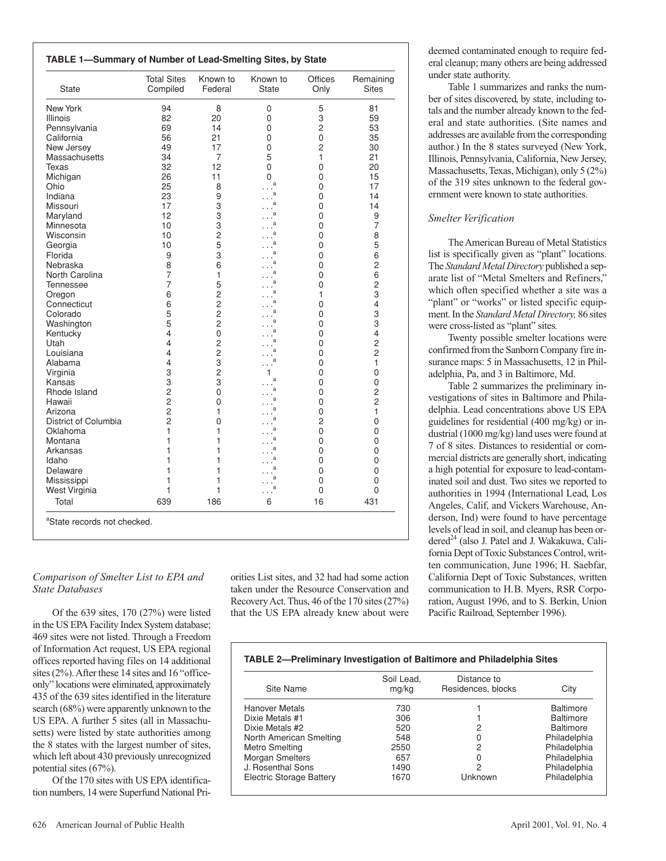| <b>TABLE 1-Summary of Number of Lead-Smelting Sites, by State</b> |  |
|-------------------------------------------------------------------|--|
|-------------------------------------------------------------------|--|

| <b>State</b>          | Compiled            | Federal        | <b>State</b> | Only           | Remaining<br><b>Sites</b> |
|-----------------------|---------------------|----------------|--------------|----------------|---------------------------|
| New York              | 94                  | 8              | 0            | 5              | 81                        |
| <b>Illinois</b>       | 82                  | 20             | 0            | 3              | 59                        |
| Pennsylvania          | 69                  | 14             | 0            | $\overline{c}$ | 53                        |
| California            | 56                  | 21             | 0            | 0              | 35                        |
| New Jersey            | 49                  | 17             | 0            | $\overline{c}$ | 30                        |
| Massachusetts         | 34                  | 7              | 5            | 1              | 21                        |
| Texas                 | 32                  | 12             | 0            | 0              | 20                        |
| Michigan              | 26                  | 11             | 0<br>a       | 0              | 15                        |
| Ohio                  | 25                  | 8              |              | 0              | 17                        |
| Indiana               | 23                  | 9              | a            | 0              | 14                        |
| Missouri              | 17                  | 3              | я            | 0              | 14                        |
| Maryland              | 12                  | 3              |              | 0              | 9                         |
| Minnesota             | 10                  | 3              | a            | 0              | $\overline{7}$            |
| Wisconsin             | 10                  | $\overline{c}$ | a            | 0              | 8                         |
| Georgia               | 10                  | 5              | a            | 0              | 5                         |
| Florida               | 9                   | 3              | a            | 0              | 6                         |
| Nebraska              | 8<br>$\overline{7}$ | 6              | a            | 0              | 2                         |
| North Carolina        | 7                   | 1<br>5         | a            | 0<br>0         | 6<br>$\overline{c}$       |
| Tennessee             | 6                   | $\overline{c}$ |              | 1              | 3                         |
| Oregon<br>Connecticut | 6                   | $\overline{c}$ | a            | 0              | 4                         |
| Colorado              | 5                   | $\overline{c}$ | a            | 0              | 3                         |
| Washington            | 5                   | $\overline{c}$ | a            | 0              | 3                         |
| Kentucky              | $\overline{4}$      | 0              | a            | 0              | 4                         |
| Utah                  | $\overline{4}$      | $\overline{c}$ | a            | 0              | $\overline{c}$            |
| Louisiana             | 4                   | $\overline{c}$ | a            | 0              | $\overline{2}$            |
| Alabama               | $\overline{4}$      | 3              | a            | 0              | 1                         |
| Virginia              | 3                   | $\overline{c}$ |              | 0              | $\mathbf 0$               |
| Kansas                | 3                   | 3              | a            | 0              | 0                         |
| Rhode Island          | $\overline{c}$      | 0              | a            | 0              | 2                         |
| Hawaii                | $\overline{c}$      | 0              | a            | 0              | 2                         |
| Arizona               | $\overline{c}$      | 1              | a            | 0              | 1                         |
| District of Columbia  | $\overline{c}$      | 0              | a            | $\overline{c}$ | 0                         |
| Oklahoma              | 1                   | 1              | a            | 0              | 0                         |
| Montana               | 1                   | 1              | a            | 0              | 0                         |
| Arkansas              | 1                   | 1              |              | 0              | 0                         |
| Idaho                 | 1                   | 1              | a            | 0              | 0                         |
| Delaware              | 1                   | 1              | a            | 0              | 0                         |
| Mississippi           | 1                   | 1              | a            | 0              | 0                         |
| West Virginia         | 1                   | 1              | a            | 0              | 0                         |
| Total                 | 639                 | 186            | 6            | 16             | 431                       |

#### *Comparison of Smelter List to EPA and State Databases*

Of the 639 sites, 170 (27%) were listed in the US EPA Facility Index System database; 469 sites were not listed. Through a Freedom of Information Act request, US EPA regional offices reported having files on 14 additional sites (2%). After these 14 sites and 16 "officeonly" locations were eliminated, approximately 435 of the 639 sites identified in the literature search (68%) were apparently unknown to the US EPA. A further 5 sites (all in Massachusetts) were listed by state authorities among the 8 states with the largest number of sites, which left about 430 previously unrecognized potential sites (67%).

Of the 170 sites with US EPA identification numbers, 14 were Superfund National Priorities List sites, and 32 had had some action taken under the Resource Conservation and RecoveryAct. Thus, 46 of the 170 sites (27%) that the US EPA already knew about were deemed contaminated enough to require federal cleanup; many others are being addressed under state authority.

Table 1 summarizes and ranks the number of sites discovered, by state, including totals and the number already known to the federal and state authorities. (Site names and addresses are available from the corresponding author.) In the 8 states surveyed (New York, Illinois, Pennsylvania, California, New Jersey, Massachusetts, Texas, Michigan), only 5 (2%) of the 319 sites unknown to the federal government were known to state authorities.

## *Smelter Verification*

The American Bureau of Metal Statistics list is specifically given as "plant" locations. The *Standard Metal Directory* published a separate list of "Metal Smelters and Refiners," which often specified whether a site was a "plant" or "works" or listed specific equipment. In the *Standard Metal Directory,* 86 sites were cross-listed as "plant" sites*.*

Twenty possible smelter locations were confirmed from the Sanborn Company fire insurance maps: 5 in Massachusetts, 12 in Philadelphia, Pa, and 3 in Baltimore, Md.

Table 2 summarizes the preliminary investigations of sites in Baltimore and Philadelphia. Lead concentrations above US EPA guidelines for residential (400 mg/kg) or industrial (1000 mg/kg) land uses were found at 7 of 8 sites. Distances to residential or commercial districts are generally short, indicating a high potential for exposure to lead-contaminated soil and dust. Two sites we reported to authorities in 1994 (International Lead, Los Angeles, Calif, and Vickers Warehouse, Anderson, Ind) were found to have percentage levels of lead in soil, and cleanup has been ordered<sup>24</sup> (also J. Patel and J. Wakakuwa, California Dept of Toxic Substances Control, written communication, June 1996; H. Saebfar, California Dept of Toxic Substances, written communication to H.B. Myers, RSR Corporation, August 1996, and to S. Berkin, Union Pacific Railroad, September 1996).

# **TABLE 2—Preliminary Investigation of Baltimore and Philadelphia Sites**

| Site Name                       | Soil Lead,<br>mg/kg | Distance to<br>Residences, blocks | City             |
|---------------------------------|---------------------|-----------------------------------|------------------|
| <b>Hanover Metals</b>           | 730                 |                                   | <b>Baltimore</b> |
| Dixie Metals #1                 | 306                 |                                   | <b>Baltimore</b> |
| Dixie Metals #2                 | 520                 | 2                                 | <b>Baltimore</b> |
| North American Smelting         | 548                 | 0                                 | Philadelphia     |
| <b>Metro Smelting</b>           | 2550                | 2                                 | Philadelphia     |
| <b>Morgan Smelters</b>          | 657                 | 0                                 | Philadelphia     |
| J. Rosenthal Sons               | 1490                | 2                                 | Philadelphia     |
| <b>Electric Storage Battery</b> | 1670                | Unknown                           | Philadelphia     |